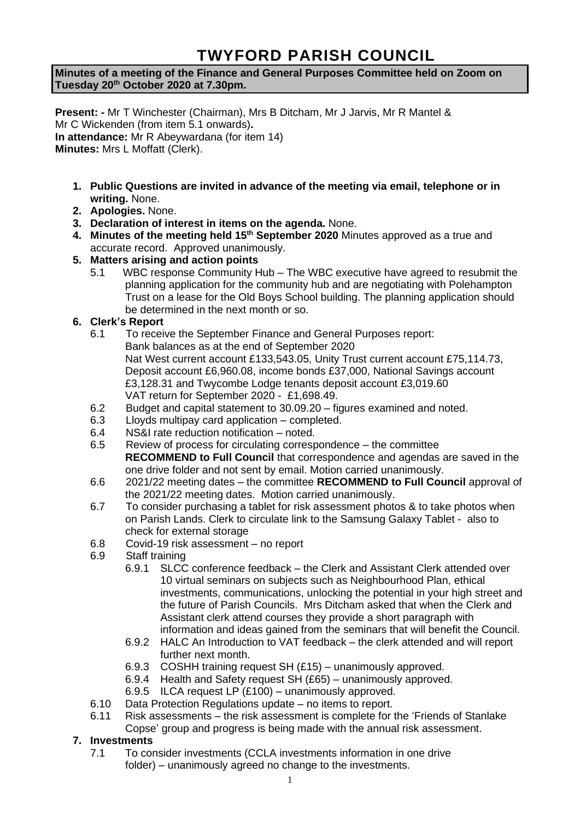# **TWYFORD PARISH COUNCIL**

**Minutes of a meeting of the Finance and General Purposes Committee held on Zoom on Tuesday 20th October 2020 at 7.30pm.**

**Present: -** Mr T Winchester (Chairman), Mrs B Ditcham, Mr J Jarvis, Mr R Mantel & Mr C Wickenden (from item 5.1 onwards)**. In attendance:** Mr R Abeywardana (for item 14) **Minutes:** Mrs L Moffatt (Clerk).

- **1. Public Questions are invited in advance of the meeting via email, telephone or in writing.** None.
- **2. Apologies.** None.
- **3. Declaration of interest in items on the agenda.** None.
- **4. Minutes of the meeting held 15th September 2020** Minutes approved as a true and accurate record. Approved unanimously.
- **5. Matters arising and action points**
	- 5.1 WBC response Community Hub The WBC executive have agreed to resubmit the planning application for the community hub and are negotiating with Polehampton Trust on a lease for the Old Boys School building. The planning application should be determined in the next month or so.

# **6. Clerk's Report**

- 6.1 To receive the September Finance and General Purposes report: Bank balances as at the end of September 2020 Nat West current account £133,543.05, Unity Trust current account £75,114.73, Deposit account £6,960.08, income bonds £37,000, National Savings account £3,128.31 and Twycombe Lodge tenants deposit account £3,019.60 VAT return for September 2020 - £1,698.49.
- 6.2 Budget and capital statement to 30.09.20 figures examined and noted.
- 6.3 Lloyds multipay card application completed.
- 6.4 NS&I rate reduction notification noted.
- 6.5 Review of process for circulating correspondence the committee **RECOMMEND to Full Council** that correspondence and agendas are saved in the one drive folder and not sent by email. Motion carried unanimously.
- 6.6 2021/22 meeting dates the committee **RECOMMEND to Full Council** approval of the 2021/22 meeting dates. Motion carried unanimously.
- 6.7 To consider purchasing a tablet for risk assessment photos & to take photos when on Parish Lands. Clerk to circulate link to the Samsung Galaxy Tablet - also to check for external storage
- 6.8 Covid-19 risk assessment no report
- 6.9 Staff training
	- 6.9.1 SLCC conference feedback the Clerk and Assistant Clerk attended over 10 virtual seminars on subjects such as Neighbourhood Plan, ethical investments, communications, unlocking the potential in your high street and the future of Parish Councils. Mrs Ditcham asked that when the Clerk and Assistant clerk attend courses they provide a short paragraph with information and ideas gained from the seminars that will benefit the Council.
	- 6.9.2 HALC An Introduction to VAT feedback the clerk attended and will report further next month.
	- 6.9.3 COSHH training request SH (£15) unanimously approved.
	- 6.9.4 Health and Safety request SH (£65) unanimously approved.
	- 6.9.5 ILCA request LP (£100) unanimously approved.
- 6.10 Data Protection Regulations update no items to report.
- 6.11 Risk assessments the risk assessment is complete for the 'Friends of Stanlake Copse' group and progress is being made with the annual risk assessment.

# **7. Investments**

7.1 To consider investments (CCLA investments information in one drive folder) – unanimously agreed no change to the investments.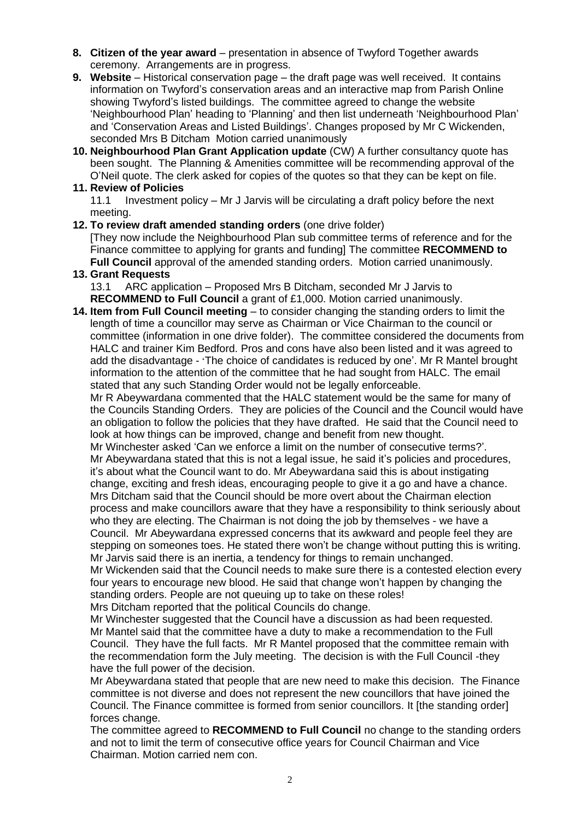- **8. Citizen of the year award** presentation in absence of Twyford Together awards ceremony. Arrangements are in progress.
- **9. Website** Historical conservation page the draft page was well received. It contains information on Twyford's conservation areas and an interactive map from Parish Online showing Twyford's listed buildings. The committee agreed to change the website 'Neighbourhood Plan' heading to 'Planning' and then list underneath 'Neighbourhood Plan' and 'Conservation Areas and Listed Buildings'. Changes proposed by Mr C Wickenden, seconded Mrs B Ditcham Motion carried unanimously
- **10. Neighbourhood Plan Grant Application update** (CW) A further consultancy quote has been sought. The Planning & Amenities committee will be recommending approval of the O'Neil quote. The clerk asked for copies of the quotes so that they can be kept on file.

## **11. Review of Policies**

11.1 Investment policy – Mr J Jarvis will be circulating a draft policy before the next meeting.

#### **12. To review draft amended standing orders** (one drive folder)

[They now include the Neighbourhood Plan sub committee terms of reference and for the Finance committee to applying for grants and funding] The committee **RECOMMEND to Full Council** approval of the amended standing orders. Motion carried unanimously.

## **13. Grant Requests**

13.1 ARC application – Proposed Mrs B Ditcham, seconded Mr J Jarvis to **RECOMMEND to Full Council** a grant of £1,000. Motion carried unanimously.

**14. Item from Full Council meeting** – to consider changing the standing orders to limit the length of time a councillor may serve as Chairman or Vice Chairman to the council or committee (information in one drive folder). The committee considered the documents from HALC and trainer Kim Bedford. Pros and cons have also been listed and it was agreed to add the disadvantage - 'The choice of candidates is reduced by one'. Mr R Mantel brought information to the attention of the committee that he had sought from HALC. The email stated that any such Standing Order would not be legally enforceable.

Mr R Abeywardana commented that the HALC statement would be the same for many of the Councils Standing Orders. They are policies of the Council and the Council would have an obligation to follow the policies that they have drafted. He said that the Council need to look at how things can be improved, change and benefit from new thought.

Mr Winchester asked 'Can we enforce a limit on the number of consecutive terms?'. Mr Abeywardana stated that this is not a legal issue, he said it's policies and procedures, it's about what the Council want to do. Mr Abeywardana said this is about instigating change, exciting and fresh ideas, encouraging people to give it a go and have a chance. Mrs Ditcham said that the Council should be more overt about the Chairman election process and make councillors aware that they have a responsibility to think seriously about who they are electing. The Chairman is not doing the job by themselves - we have a Council. Mr Abeywardana expressed concerns that its awkward and people feel they are stepping on someones toes. He stated there won't be change without putting this is writing. Mr Jarvis said there is an inertia, a tendency for things to remain unchanged.

Mr Wickenden said that the Council needs to make sure there is a contested election every four years to encourage new blood. He said that change won't happen by changing the standing orders. People are not queuing up to take on these roles!

Mrs Ditcham reported that the political Councils do change.

Mr Winchester suggested that the Council have a discussion as had been requested. Mr Mantel said that the committee have a duty to make a recommendation to the Full Council. They have the full facts. Mr R Mantel proposed that the committee remain with the recommendation form the July meeting. The decision is with the Full Council -they have the full power of the decision.

Mr Abeywardana stated that people that are new need to make this decision. The Finance committee is not diverse and does not represent the new councillors that have joined the Council. The Finance committee is formed from senior councillors. It [the standing order] forces change.

The committee agreed to **RECOMMEND to Full Council** no change to the standing orders and not to limit the term of consecutive office years for Council Chairman and Vice Chairman. Motion carried nem con.